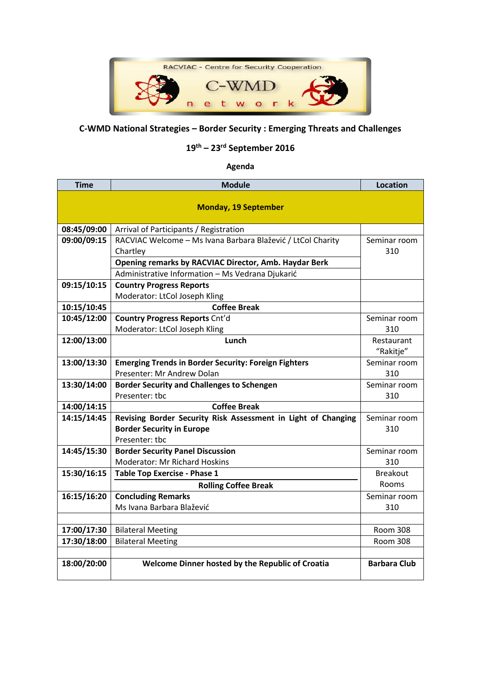

## **C-WMD National Strategies – Border Security : Emerging Threats and Challenges**

## **19th – 23rd September 2016**

## **Agenda**

| <b>Time</b>                 | <b>Module</b>                                                 | <b>Location</b>     |  |  |
|-----------------------------|---------------------------------------------------------------|---------------------|--|--|
| <b>Monday, 19 September</b> |                                                               |                     |  |  |
|                             |                                                               |                     |  |  |
| 08:45/09:00                 | Arrival of Participants / Registration                        |                     |  |  |
| 09:00/09:15                 | RACVIAC Welcome - Ms Ivana Barbara Blažević / LtCol Charity   | Seminar room        |  |  |
|                             | Chartley                                                      | 310                 |  |  |
|                             | <b>Opening remarks by RACVIAC Director, Amb. Haydar Berk</b>  |                     |  |  |
|                             | Administrative Information - Ms Vedrana Djukarić              |                     |  |  |
| 09:15/10:15                 | <b>Country Progress Reports</b>                               |                     |  |  |
|                             | Moderator: LtCol Joseph Kling                                 |                     |  |  |
| 10:15/10:45                 | <b>Coffee Break</b>                                           |                     |  |  |
| 10:45/12:00                 | <b>Country Progress Reports Cnt'd</b>                         | Seminar room        |  |  |
|                             | Moderator: LtCol Joseph Kling                                 | 310                 |  |  |
| 12:00/13:00                 | Lunch                                                         | Restaurant          |  |  |
|                             |                                                               | "Rakitje"           |  |  |
| 13:00/13:30                 | <b>Emerging Trends in Border Security: Foreign Fighters</b>   | Seminar room        |  |  |
|                             | Presenter: Mr Andrew Dolan                                    | 310                 |  |  |
| 13:30/14:00                 | <b>Border Security and Challenges to Schengen</b>             | Seminar room        |  |  |
|                             | Presenter: tbc                                                | 310                 |  |  |
| 14:00/14:15                 | <b>Coffee Break</b>                                           |                     |  |  |
| 14:15/14:45                 | Revising Border Security Risk Assessment in Light of Changing | Seminar room        |  |  |
|                             | <b>Border Security in Europe</b>                              | 310                 |  |  |
|                             | Presenter: tbc                                                |                     |  |  |
| 14:45/15:30                 | <b>Border Security Panel Discussion</b>                       | Seminar room        |  |  |
|                             | <b>Moderator: Mr Richard Hoskins</b>                          | 310                 |  |  |
| 15:30/16:15                 | <b>Table Top Exercise - Phase 1</b>                           | <b>Breakout</b>     |  |  |
|                             | <b>Rolling Coffee Break</b>                                   | Rooms               |  |  |
| 16:15/16:20                 | <b>Concluding Remarks</b>                                     | Seminar room        |  |  |
|                             | Ms Ivana Barbara Blažević                                     | 310                 |  |  |
|                             |                                                               |                     |  |  |
| 17:00/17:30                 | <b>Bilateral Meeting</b>                                      | <b>Room 308</b>     |  |  |
| 17:30/18:00                 | <b>Bilateral Meeting</b>                                      | <b>Room 308</b>     |  |  |
|                             |                                                               |                     |  |  |
| 18:00/20:00                 | Welcome Dinner hosted by the Republic of Croatia              | <b>Barbara Club</b> |  |  |
|                             |                                                               |                     |  |  |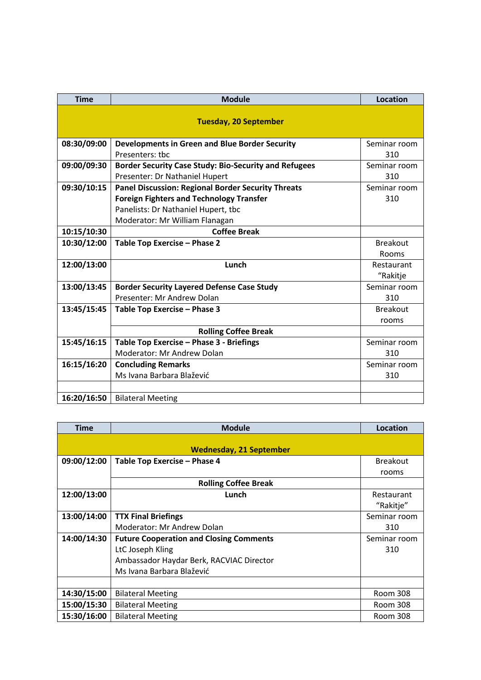| <b>Time</b>                  | <b>Module</b>                                                | Location        |  |  |
|------------------------------|--------------------------------------------------------------|-----------------|--|--|
| <b>Tuesday, 20 September</b> |                                                              |                 |  |  |
| 08:30/09:00                  | <b>Developments in Green and Blue Border Security</b>        | Seminar room    |  |  |
|                              | Presenters: tbc                                              | 310             |  |  |
| 09:00/09:30                  | <b>Border Security Case Study: Bio-Security and Refugees</b> | Seminar room    |  |  |
|                              | Presenter: Dr Nathaniel Hupert                               | 310             |  |  |
| 09:30/10:15                  | <b>Panel Discussion: Regional Border Security Threats</b>    | Seminar room    |  |  |
|                              | <b>Foreign Fighters and Technology Transfer</b>              | 310             |  |  |
|                              | Panelists: Dr Nathaniel Hupert, tbc                          |                 |  |  |
|                              | Moderator: Mr William Flanagan                               |                 |  |  |
| 10:15/10:30                  | <b>Coffee Break</b>                                          |                 |  |  |
| 10:30/12:00                  | Table Top Exercise - Phase 2                                 | <b>Breakout</b> |  |  |
|                              |                                                              | Rooms           |  |  |
| 12:00/13:00                  | Lunch                                                        | Restaurant      |  |  |
|                              |                                                              | "Rakitje        |  |  |
| 13:00/13:45                  | <b>Border Security Layered Defense Case Study</b>            | Seminar room    |  |  |
|                              | Presenter: Mr Andrew Dolan                                   | 310             |  |  |
| 13:45/15:45                  | Table Top Exercise - Phase 3                                 | <b>Breakout</b> |  |  |
|                              |                                                              | rooms           |  |  |
|                              | <b>Rolling Coffee Break</b>                                  |                 |  |  |
| 15:45/16:15                  | Table Top Exercise - Phase 3 - Briefings                     | Seminar room    |  |  |
|                              | Moderator: Mr Andrew Dolan                                   | 310             |  |  |
| 16:15/16:20                  | <b>Concluding Remarks</b>                                    | Seminar room    |  |  |
|                              | Ms Ivana Barbara Blažević                                    | 310             |  |  |
|                              |                                                              |                 |  |  |
| 16:20/16:50                  | <b>Bilateral Meeting</b>                                     |                 |  |  |

| <b>Time</b>                    | <b>Module</b>                                  | <b>Location</b> |  |  |
|--------------------------------|------------------------------------------------|-----------------|--|--|
|                                |                                                |                 |  |  |
| <b>Wednesday, 21 September</b> |                                                |                 |  |  |
| 09:00/12:00                    | Table Top Exercise - Phase 4                   | <b>Breakout</b> |  |  |
|                                |                                                | rooms           |  |  |
|                                | <b>Rolling Coffee Break</b>                    |                 |  |  |
| 12:00/13:00                    | Lunch                                          | Restaurant      |  |  |
|                                |                                                | "Rakitje"       |  |  |
| 13:00/14:00                    | <b>TTX Final Briefings</b>                     | Seminar room    |  |  |
|                                | Moderator: Mr Andrew Dolan                     | 310             |  |  |
| 14:00/14:30                    | <b>Future Cooperation and Closing Comments</b> | Seminar room    |  |  |
|                                | LtC Joseph Kling                               | 310             |  |  |
|                                | Ambassador Haydar Berk, RACVIAC Director       |                 |  |  |
|                                | Ms Ivana Barbara Blažević                      |                 |  |  |
|                                |                                                |                 |  |  |
| 14:30/15:00                    | <b>Bilateral Meeting</b>                       | Room 308        |  |  |
| 15:00/15:30                    | <b>Bilateral Meeting</b>                       | Room 308        |  |  |
| 15:30/16:00                    | <b>Bilateral Meeting</b>                       | Room 308        |  |  |